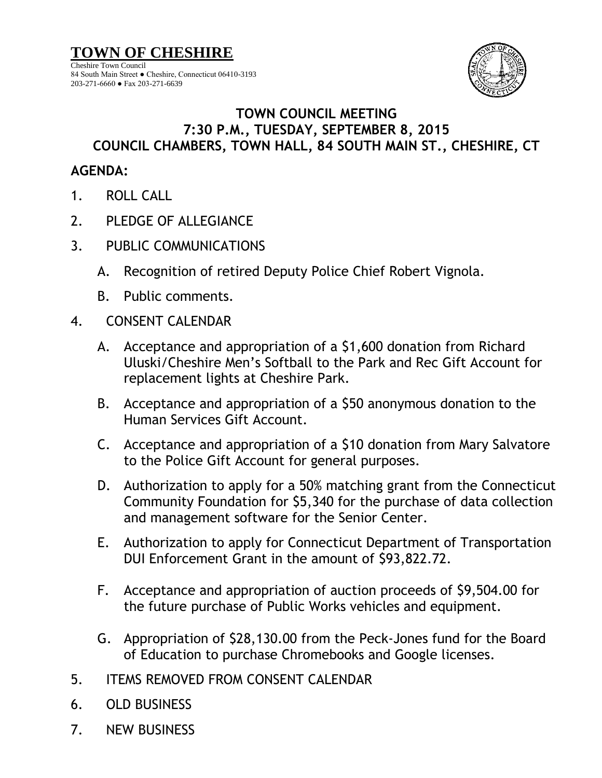

## **TOWN COUNCIL MEETING 7:30 P.M., TUESDAY, SEPTEMBER 8, 2015 COUNCIL CHAMBERS, TOWN HALL, 84 SOUTH MAIN ST., CHESHIRE, CT**

## **AGENDA:**

- 1. ROLL CALL
- 2. PLEDGE OF ALLEGIANCE
- 3. PUBLIC COMMUNICATIONS
	- A. Recognition of retired Deputy Police Chief Robert Vignola.
	- B. Public comments.
- 4. CONSENT CALENDAR
	- A. Acceptance and appropriation of a \$1,600 donation from Richard Uluski/Cheshire Men's Softball to the Park and Rec Gift Account for replacement lights at Cheshire Park.
	- B. Acceptance and appropriation of a \$50 anonymous donation to the Human Services Gift Account.
	- C. Acceptance and appropriation of a \$10 donation from Mary Salvatore to the Police Gift Account for general purposes.
	- D. Authorization to apply for a 50% matching grant from the Connecticut Community Foundation for \$5,340 for the purchase of data collection and management software for the Senior Center.
	- E. Authorization to apply for Connecticut Department of Transportation DUI Enforcement Grant in the amount of \$93,822.72.
	- F. Acceptance and appropriation of auction proceeds of \$9,504.00 for the future purchase of Public Works vehicles and equipment.
	- G. Appropriation of \$28,130.00 from the Peck-Jones fund for the Board of Education to purchase Chromebooks and Google licenses.
- 5. ITEMS REMOVED FROM CONSENT CALENDAR
- 6. OLD BUSINESS
- 7. NEW BUSINESS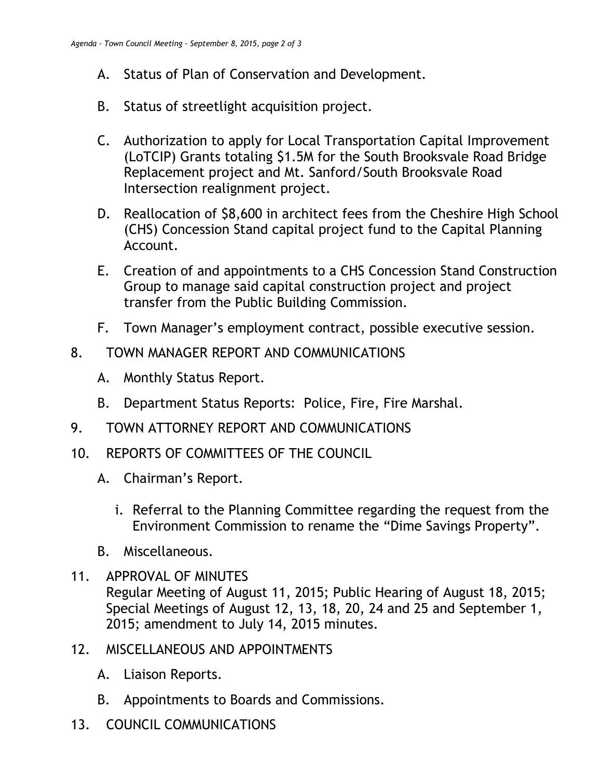- A. Status of Plan of Conservation and Development.
- B. Status of streetlight acquisition project.
- C. Authorization to apply for Local Transportation Capital Improvement (LoTCIP) Grants totaling \$1.5M for the South Brooksvale Road Bridge Replacement project and Mt. Sanford/South Brooksvale Road Intersection realignment project.
- D. Reallocation of \$8,600 in architect fees from the Cheshire High School (CHS) Concession Stand capital project fund to the Capital Planning Account.
- E. Creation of and appointments to a CHS Concession Stand Construction Group to manage said capital construction project and project transfer from the Public Building Commission.
- F. Town Manager's employment contract, possible executive session.
- 8. TOWN MANAGER REPORT AND COMMUNICATIONS
	- A. Monthly Status Report.
	- B. Department Status Reports: Police, Fire, Fire Marshal.
- 9. TOWN ATTORNEY REPORT AND COMMUNICATIONS
- 10. REPORTS OF COMMITTEES OF THE COUNCIL
	- A. Chairman's Report.
		- i. Referral to the Planning Committee regarding the request from the Environment Commission to rename the "Dime Savings Property".
	- B. Miscellaneous.
- 11. APPROVAL OF MINUTES Regular Meeting of August 11, 2015; Public Hearing of August 18, 2015; Special Meetings of August 12, 13, 18, 20, 24 and 25 and September 1, 2015; amendment to July 14, 2015 minutes.
- 12. MISCELLANEOUS AND APPOINTMENTS
	- A. Liaison Reports.
	- B. Appointments to Boards and Commissions.
- 13. COUNCIL COMMUNICATIONS